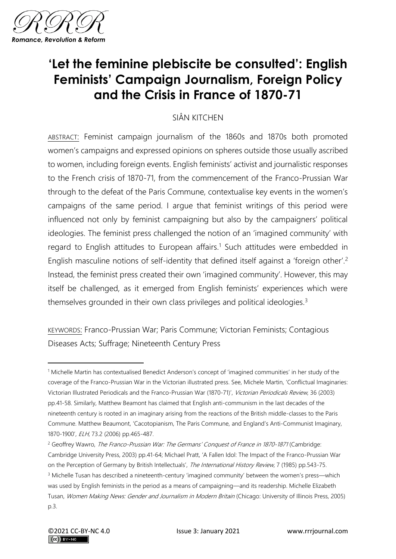

# **'Let the feminine plebiscite be consulted': English Feminists' Campaign Journalism, Foreign Policy and the Crisis in France of 1870-71**

### SIÂN KITCHEN

ABSTRACT: Feminist campaign journalism of the 1860s and 1870s both promoted women's campaigns and expressed opinions on spheres outside those usually ascribed to women, including foreign events. English feminists' activist and journalistic responses to the French crisis of 1870-71, from the commencement of the Franco-Prussian War through to the defeat of the Paris Commune, contextualise key events in the women's campaigns of the same period. I argue that feminist writings of this period were influenced not only by feminist campaigning but also by the campaigners' political ideologies. The feminist press challenged the notion of an 'imagined community' with regard to English attitudes to European affairs.<sup>1</sup> Such attitudes were embedded in English masculine notions of self-identity that defined itself against a 'foreign other'.<sup>2</sup> Instead, the feminist press created their own 'imagined community'. However, this may itself be challenged, as it emerged from English feminists' experiences which were themselves grounded in their own class privileges and political ideologies.<sup>3</sup>

KEYWORDS: Franco-Prussian War; Paris Commune; Victorian Feminists; Contagious Diseases Acts; Suffrage; Nineteenth Century Press

<sup>1</sup> Michelle Martin has contextualised Benedict Anderson's concept of 'imagined communities' in her study of the coverage of the Franco-Prussian War in the Victorian illustrated press. See, Michele Martin, 'Conflictual Imaginaries: Victorian Illustrated Periodicals and the Franco-Prussian War (1870-71)', Victorian Periodicals Review, 36 (2003) pp.41-58. Similarly, Matthew Beamont has claimed that English anti-communism in the last decades of the nineteenth century is rooted in an imaginary arising from the reactions of the British middle-classes to the Paris Commune. Matthew Beaumont, 'Cacotopianism, The Paris Commune, and England's Anti-Communist Imaginary, 1870-1900', ELH, 73.2 (2006) pp.465-487.

<sup>&</sup>lt;sup>2</sup> Geoffrey Wawro, *The Franco-Prussian War: The Germans' Conquest of France in 1870-1871* (Cambridge: Cambridge University Press, 2003) pp.41-64; Michael Pratt, 'A Fallen Idol: The Impact of the Franco-Prussian War on the Perception of Germany by British Intellectuals', The International History Review, 7 (1985) pp.543-75. <sup>3</sup> Michelle Tusan has described a nineteenth-century 'imagined community' between the women's press—which was used by English feminists in the period as a means of campaigning—and its readership. Michelle Elizabeth Tusan, Women Making News: Gender and Journalism in Modern Britain (Chicago: University of Illinois Press, 2005) p.3.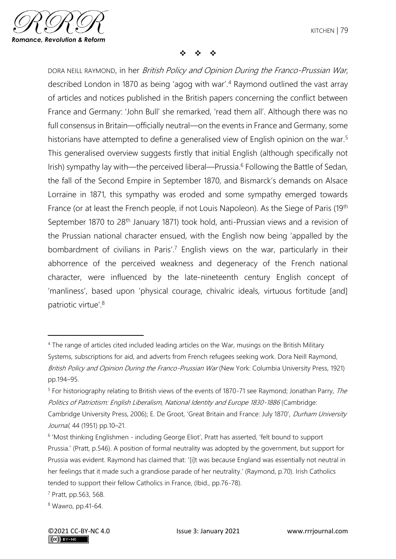

❖ ❖ ❖

DORA NEILL RAYMOND, in her British Policy and Opinion During the Franco-Prussian War, described London in 1870 as being 'agog with war'.<sup>4</sup> Raymond outlined the vast array of articles and notices published in the British papers concerning the conflict between France and Germany: 'John Bull' she remarked, 'read them all'. Although there was no full consensus in Britain—officially neutral—on the events in France and Germany, some historians have attempted to define a generalised view of English opinion on the war.<sup>5</sup> This generalised overview suggests firstly that initial English (although specifically not Irish) sympathy lay with—the perceived liberal—Prussia.<sup>6</sup> Following the Battle of Sedan, the fall of the Second Empire in September 1870, and Bismarck's demands on Alsace Lorraine in 1871, this sympathy was eroded and some sympathy emerged towards France (or at least the French people, if not Louis Napoleon). As the Siege of Paris (19<sup>th</sup>) September 1870 to 28th January 1871) took hold, anti-Prussian views and a revision of the Prussian national character ensued, with the English now being 'appalled by the bombardment of civilians in Paris'.<sup>7</sup> English views on the war, particularly in their abhorrence of the perceived weakness and degeneracy of the French national character, were influenced by the late-nineteenth century English concept of 'manliness', based upon 'physical courage, chivalric ideals, virtuous fortitude [and] patriotic virtue'.<sup>8</sup>

<sup>4</sup> The range of articles cited included leading articles on the War, musings on the British Military Systems, subscriptions for aid, and adverts from French refugees seeking work. Dora Neill Raymond, British Policy and Opinion During the Franco-Prussian War (New York: Columbia University Press, 1921) pp.194–95.

<sup>&</sup>lt;sup>5</sup> For historiography relating to British views of the events of 1870-71 see Raymond; Jonathan Parry, The Politics of Patriotism: English Liberalism, National Identity and Europe 1830-1886 (Cambridge: Cambridge University Press, 2006); E. De Groot, 'Great Britain and France: July 1870', Durham University Journal, 44 (1951) pp.10–21.

<sup>&</sup>lt;sup>6</sup> 'Most thinking Englishmen - including George Eliot', Pratt has asserted, 'felt bound to support Prussia.' (Pratt, p.546). A position of formal neutrality was adopted by the government, but support for Prussia was evident. Raymond has claimed that: '[i]t was because England was essentially not neutral in her feelings that it made such a grandiose parade of her neutrality.' (Raymond, p.70). Irish Catholics tended to support their fellow Catholics in France, (Ibid., pp.76-78).

<sup>7</sup> Pratt, pp.563, 568.

<sup>8</sup> Wawro, pp.41-64.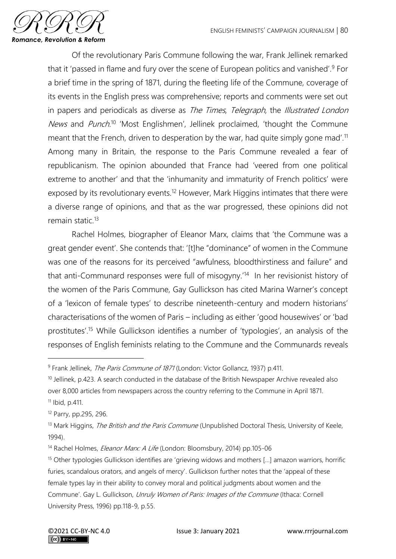

Of the revolutionary Paris Commune following the war, Frank Jellinek remarked that it 'passed in flame and fury over the scene of European politics and vanished'.<sup>9</sup> For a brief time in the spring of 1871, during the fleeting life of the Commune, coverage of its events in the English press was comprehensive; reports and comments were set out in papers and periodicals as diverse as The Times, Telegraph, the Illustrated London News and Punch.<sup>10</sup> 'Most Englishmen', Jellinek proclaimed, 'thought the Commune meant that the French, driven to desperation by the war, had quite simply gone mad'.<sup>11</sup> Among many in Britain, the response to the Paris Commune revealed a fear of republicanism. The opinion abounded that France had 'veered from one political extreme to another' and that the 'inhumanity and immaturity of French politics' were exposed by its revolutionary events.<sup>12</sup> However, Mark Higgins intimates that there were a diverse range of opinions, and that as the war progressed, these opinions did not remain static.<sup>13</sup>

Rachel Holmes, biographer of Eleanor Marx, claims that 'the Commune was a great gender event'. She contends that: '[t]he "dominance" of women in the Commune was one of the reasons for its perceived "awfulness, bloodthirstiness and failure" and that anti-Communard responses were full of misogyny.<sup>'14</sup> In her revisionist history of the women of the Paris Commune, Gay Gullickson has cited Marina Warner's concept of a 'lexicon of female types' to describe nineteenth-century and modern historians' characterisations of the women of Paris – including as either 'good housewives' or 'bad prostitutes'.<sup>15</sup> While Gullickson identifies a number of 'typologies', an analysis of the responses of English feminists relating to the Commune and the Communards reveals

<sup>&</sup>lt;sup>9</sup> Frank Jellinek, *The Paris Commune of 1871* (London: Victor Gollancz, 1937) p.411.

<sup>&</sup>lt;sup>10</sup> Jellinek, p.423. A search conducted in the database of the British Newspaper Archive revealed also over 8,000 articles from newspapers across the country referring to the Commune in April 1871.  $11$  Ibid, p.411.

<sup>12</sup> Parry, pp.295, 296.

<sup>&</sup>lt;sup>13</sup> Mark Higgins, *The British and the Paris Commune* (Unpublished Doctoral Thesis, University of Keele, 1994).

<sup>&</sup>lt;sup>14</sup> Rachel Holmes, *Eleanor Marx: A Life* (London: Bloomsbury, 2014) pp.105-06

<sup>&</sup>lt;sup>15</sup> Other typologies Gullickson identifies are 'grieving widows and mothers [...] amazon warriors, horrific furies, scandalous orators, and angels of mercy'. Gullickson further notes that the 'appeal of these female types lay in their ability to convey moral and political judgments about women and the Commune'. Gay L. Gullickson, Unruly Women of Paris: Images of the Commune (Ithaca: Cornell University Press, 1996) pp.118-9, p.55.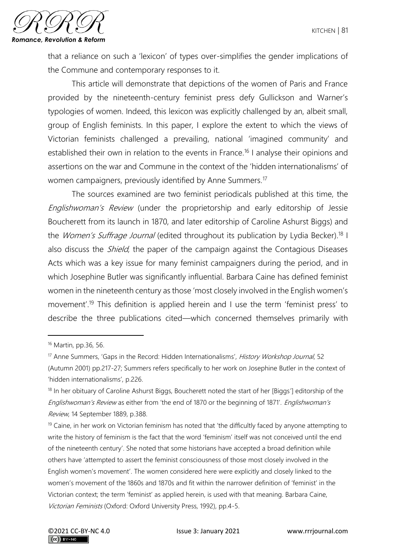

that a reliance on such a 'lexicon' of types over-simplifies the gender implications of the Commune and contemporary responses to it.

This article will demonstrate that depictions of the women of Paris and France provided by the nineteenth-century feminist press defy Gullickson and Warner's typologies of women. Indeed, this lexicon was explicitly challenged by an, albeit small, group of English feminists. In this paper, I explore the extent to which the views of Victorian feminists challenged a prevailing, national 'imagined community' and established their own in relation to the events in France.<sup>16</sup> I analyse their opinions and assertions on the war and Commune in the context of the 'hidden internationalisms' of women campaigners, previously identified by Anne Summers.<sup>17</sup>

The sources examined are two feminist periodicals published at this time, the Englishwoman's Review (under the proprietorship and early editorship of Jessie Boucherett from its launch in 1870, and later editorship of Caroline Ashurst Biggs) and the Women's Suffrage Journal (edited throughout its publication by Lydia Becker).<sup>18</sup> I also discuss the *Shield*, the paper of the campaign against the Contagious Diseases Acts which was a key issue for many feminist campaigners during the period, and in which Josephine Butler was significantly influential. Barbara Caine has defined feminist women in the nineteenth century as those 'most closely involved in the English women's movement'.<sup>19</sup> This definition is applied herein and I use the term 'feminist press' to describe the three publications cited—which concerned themselves primarily with

 $19$  Caine, in her work on Victorian feminism has noted that 'the difficultly faced by anyone attempting to write the history of feminism is the fact that the word 'feminism' itself was not conceived until the end of the nineteenth century'. She noted that some historians have accepted a broad definition while others have 'attempted to assert the feminist consciousness of those most closely involved in the English women's movement'. The women considered here were explicitly and closely linked to the women's movement of the 1860s and 1870s and fit within the narrower definition of 'feminist' in the Victorian context; the term 'feminist' as applied herein, is used with that meaning. Barbara Caine, Victorian Feminists (Oxford: Oxford University Press, 1992), pp.4-5.

<sup>16</sup> Martin, pp.36, 56.

<sup>&</sup>lt;sup>17</sup> Anne Summers, 'Gaps in the Record: Hidden Internationalisms', History Workshop Journal, 52 (Autumn 2001) pp.217-27; Summers refers specifically to her work on Josephine Butler in the context of 'hidden internationalisms', p.226.

<sup>&</sup>lt;sup>18</sup> In her obituary of Caroline Ashurst Biggs, Boucherett noted the start of her [Biggs'] editorship of the Englishwoman's Review as either from 'the end of 1870 or the beginning of 1871'. Englishwoman's Review, 14 September 1889, p.388.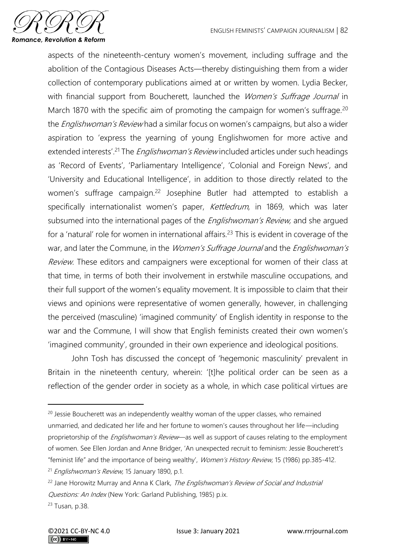

aspects of the nineteenth-century women's movement, including suffrage and the abolition of the Contagious Diseases Acts—thereby distinguishing them from a wider collection of contemporary publications aimed at or written by women. Lydia Becker, with financial support from Boucherett, launched the Women's Suffrage Journal in March 1870 with the specific aim of promoting the campaign for women's suffrage.<sup>20</sup> the *Englishwoman's Review* had a similar focus on women's campaigns, but also a wider aspiration to 'express the yearning of young Englishwomen for more active and extended interests<sup>' 21</sup> The *Englishwoman's Review* included articles under such headings as 'Record of Events', 'Parliamentary Intelligence', 'Colonial and Foreign News', and 'University and Educational Intelligence', in addition to those directly related to the women's suffrage campaign.<sup>22</sup> Josephine Butler had attempted to establish a specifically internationalist women's paper, Kettledrum, in 1869, which was later subsumed into the international pages of the *Englishwoman's Review*, and she argued for a 'natural' role for women in international affairs.<sup>23</sup> This is evident in coverage of the war, and later the Commune, in the Women's Suffrage Journal and the Englishwoman's Review. These editors and campaigners were exceptional for women of their class at that time, in terms of both their involvement in erstwhile masculine occupations, and their full support of the women's equality movement. It is impossible to claim that their views and opinions were representative of women generally, however, in challenging the perceived (masculine) 'imagined community' of English identity in response to the war and the Commune, I will show that English feminists created their own women's 'imagined community', grounded in their own experience and ideological positions.

John Tosh has discussed the concept of 'hegemonic masculinity' prevalent in Britain in the nineteenth century, wherein: '[t]he political order can be seen as a reflection of the gender order in society as a whole, in which case political virtues are

<sup>&</sup>lt;sup>20</sup> Jessie Boucherett was an independently wealthy woman of the upper classes, who remained unmarried, and dedicated her life and her fortune to women's causes throughout her life—including proprietorship of the *Englishwoman's Review*—as well as support of causes relating to the employment of women. See Ellen Jordan and Anne Bridger, 'An unexpected recruit to feminism: Jessie Boucherett's "feminist life" and the importance of being wealthy', Women's History Review, 15 (1986) pp.385-412.

<sup>&</sup>lt;sup>21</sup> Englishwoman's Review, 15 January 1890, p.1.

<sup>&</sup>lt;sup>22</sup> Jane Horowitz Murray and Anna K Clark, The Englishwoman's Review of Social and Industrial Questions: An Index (New York: Garland Publishing, 1985) p.ix.

<sup>23</sup> Tusan, p.38.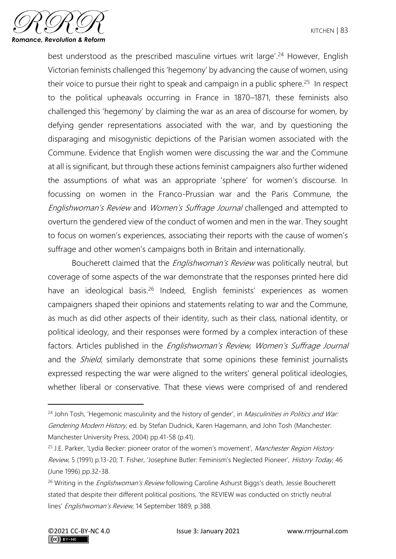

best understood as the prescribed masculine virtues writ large'. <sup>24</sup> However, English Victorian feminists challenged this 'hegemony' by advancing the cause of women, using their voice to pursue their right to speak and campaign in a public sphere.<sup>25</sup> In respect to the political upheavals occurring in France in 1870–1871, these feminists also challenged this 'hegemony' by claiming the war as an area of discourse for women, by defying gender representations associated with the war, and by questioning the disparaging and misogynistic depictions of the Parisian women associated with the Commune. Evidence that English women were discussing the war and the Commune at all is significant, but through these actions feminist campaigners also further widened the assumptions of what was an appropriate 'sphere' for women's discourse. In focussing on women in the Franco-Prussian war and the Paris Commune, the Englishwoman's Review and Women's Suffrage Journal challenged and attempted to overturn the gendered view of the conduct of women and men in the war. They sought to focus on women's experiences, associating their reports with the cause of women's suffrage and other women's campaigns both in Britain and internationally.

Boucherett claimed that the *Englishwoman's Review* was politically neutral, but coverage of some aspects of the war demonstrate that the responses printed here did have an ideological basis.<sup>26</sup> Indeed, English feminists' experiences as women campaigners shaped their opinions and statements relating to war and the Commune, as much as did other aspects of their identity, such as their class, national identity, or political ideology, and their responses were formed by a complex interaction of these factors. Articles published in the Englishwoman's Review, Women's Suffrage Journal and the *Shield*, similarly demonstrate that some opinions these feminist journalists expressed respecting the war were aligned to the writers' general political ideologies, whether liberal or conservative. That these views were comprised of and rendered

<sup>&</sup>lt;sup>24</sup> John Tosh, 'Hegemonic masculinity and the history of gender', in *Masculinities in Politics and War:* Gendering Modern History, ed. by Stefan Dudnick, Karen Hagemann, and John Tosh (Manchester: Manchester University Press, 2004) pp.41-58 (p.41).

<sup>&</sup>lt;sup>25</sup> J.E. Parker, 'Lydia Becker: pioneer orator of the women's movement', Manchester Region History Review, 5 (1991) p.13-20; T. Fisher, 'Josephine Butler: Feminism's Neglected Pioneer', History Today, 46 (June 1996) pp.32-38.

<sup>&</sup>lt;sup>26</sup> Writing in the *Englishwoman's Review* following Caroline Ashurst Biggs's death, Jessie Boucherett stated that despite their different political positions, 'the REVIEW was conducted on strictly neutral lines' Englishwoman's Review, 14 September 1889, p.388.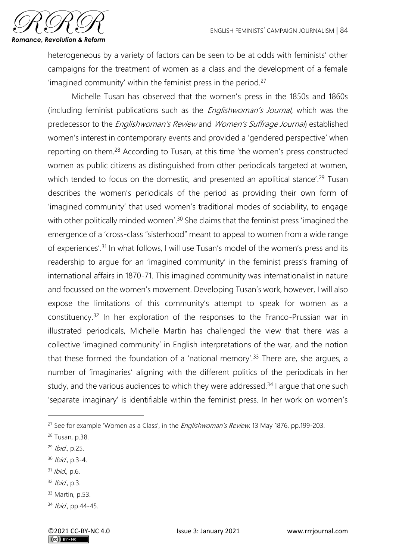

heterogeneous by a variety of factors can be seen to be at odds with feminists' other campaigns for the treatment of women as a class and the development of a female 'imagined community' within the feminist press in the period.<sup>27</sup>

Michelle Tusan has observed that the women's press in the 1850s and 1860s (including feminist publications such as the *Englishwoman's Journal*, which was the predecessor to the *Englishwoman's Review* and *Women's Suffrage Journal*) established women's interest in contemporary events and provided a 'gendered perspective' when reporting on them.<sup>28</sup> According to Tusan, at this time 'the women's press constructed women as public citizens as distinguished from other periodicals targeted at women, which tended to focus on the domestic, and presented an apolitical stance'.<sup>29</sup> Tusan describes the women's periodicals of the period as providing their own form of 'imagined community' that used women's traditional modes of sociability, to engage with other politically minded women<sup>', 30</sup> She claims that the feminist press 'imagined the emergence of a 'cross-class "sisterhood" meant to appeal to women from a wide range of experiences'.<sup>31</sup> In what follows, I will use Tusan's model of the women's press and its readership to argue for an 'imagined community' in the feminist press's framing of international affairs in 1870-71. This imagined community was internationalist in nature and focussed on the women's movement. Developing Tusan's work, however, I will also expose the limitations of this community's attempt to speak for women as a constituency.<sup>32</sup> In her exploration of the responses to the Franco-Prussian war in illustrated periodicals, Michelle Martin has challenged the view that there was a collective 'imagined community' in English interpretations of the war, and the notion that these formed the foundation of a 'national memory'.<sup>33</sup> There are, she argues, a number of 'imaginaries' aligning with the different politics of the periodicals in her study, and the various audiences to which they were addressed.<sup>34</sup> I argue that one such 'separate imaginary' is identifiable within the feminist press. In her work on women's

- $31$  *Ibid.*, p.6.
- $32$  *Ibid.*, p.3.
- <sup>33</sup> Martin, p.53.

<sup>&</sup>lt;sup>27</sup> See for example 'Women as a Class', in the *Englishwoman's Review*, 13 May 1876, pp.199-203.

<sup>28</sup> Tusan, p.38.

<sup>29</sup> Ibid., p.25.

<sup>30</sup> Ibid., p.3-4.

<sup>34</sup> *Ibid.*, pp.44-45.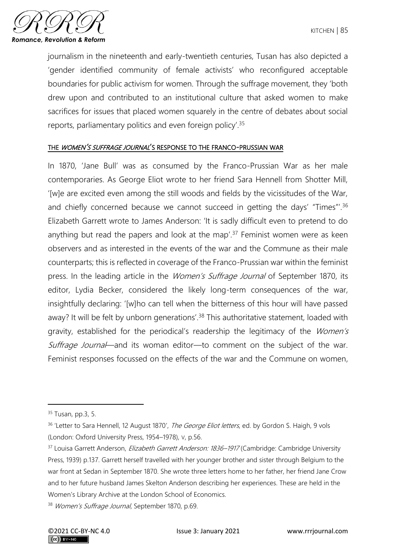

journalism in the nineteenth and early-twentieth centuries, Tusan has also depicted a 'gender identified community of female activists' who reconfigured acceptable boundaries for public activism for women. Through the suffrage movement, they 'both drew upon and contributed to an institutional culture that asked women to make sacrifices for issues that placed women squarely in the centre of debates about social reports, parliamentary politics and even foreign policy'.<sup>35</sup>

#### THE WOMEN'S SUFFRAGE JOURNAL'S RESPONSE TO THE FRANCO-PRUSSIAN WAR

In 1870, 'Jane Bull' was as consumed by the Franco-Prussian War as her male contemporaries. As George Eliot wrote to her friend Sara Hennell from Shotter Mill, '[w]e are excited even among the still woods and fields by the vicissitudes of the War, and chiefly concerned because we cannot succeed in getting the days' "Times"'.<sup>36</sup> Elizabeth Garrett wrote to James Anderson: 'It is sadly difficult even to pretend to do anything but read the papers and look at the map'.<sup>37</sup> Feminist women were as keen observers and as interested in the events of the war and the Commune as their male counterparts; this is reflected in coverage of the Franco-Prussian war within the feminist press. In the leading article in the *Women's Suffrage Journal* of September 1870, its editor, Lydia Becker, considered the likely long-term consequences of the war, insightfully declaring: '[w]ho can tell when the bitterness of this hour will have passed away? It will be felt by unborn generations'.<sup>38</sup> This authoritative statement, loaded with gravity, established for the periodical's readership the legitimacy of the Women's Suffrage Journal—and its woman editor—to comment on the subject of the war. Feminist responses focussed on the effects of the war and the Commune on women,

<sup>35</sup> Tusan, pp.3, 5.

<sup>&</sup>lt;sup>36</sup> 'Letter to Sara Hennell, 12 August 1870', *The George Eliot letters*, ed. by Gordon S. Haigh, 9 vols (London: Oxford University Press, 1954–1978), V, p.56.

<sup>&</sup>lt;sup>37</sup> Louisa Garrett Anderson, *Elizabeth Garrett Anderson: 1836–1917* (Cambridge: Cambridge University Press, 1939) p.137. Garrett herself travelled with her younger brother and sister through Belgium to the war front at Sedan in September 1870. She wrote three letters home to her father, her friend Jane Crow and to her future husband James Skelton Anderson describing her experiences. These are held in the Women's Library Archive at the London School of Economics.

<sup>38</sup> Women's Suffrage Journal, September 1870, p.69.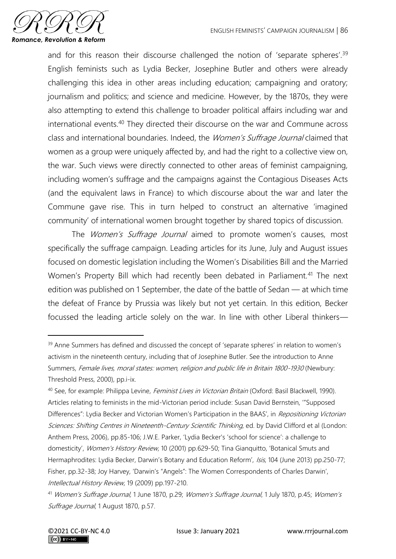

and for this reason their discourse challenged the notion of 'separate spheres'.<sup>39</sup> English feminists such as Lydia Becker, Josephine Butler and others were already challenging this idea in other areas including education; campaigning and oratory; journalism and politics; and science and medicine. However, by the 1870s, they were also attempting to extend this challenge to broader political affairs including war and international events.<sup>40</sup> They directed their discourse on the war and Commune across class and international boundaries. Indeed, the Women's Suffrage Journal claimed that women as a group were uniquely affected by, and had the right to a collective view on, the war. Such views were directly connected to other areas of feminist campaigning, including women's suffrage and the campaigns against the Contagious Diseases Acts (and the equivalent laws in France) to which discourse about the war and later the Commune gave rise. This in turn helped to construct an alternative 'imagined community' of international women brought together by shared topics of discussion.

The *Women's Suffrage Journal* aimed to promote women's causes, most specifically the suffrage campaign. Leading articles for its June, July and August issues focused on domestic legislation including the Women's Disabilities Bill and the Married Women's Property Bill which had recently been debated in Parliament.<sup>41</sup> The next edition was published on 1 September, the date of the battle of Sedan — at which time the defeat of France by Prussia was likely but not yet certain. In this edition, Becker focussed the leading article solely on the war. In line with other Liberal thinkers—

<sup>&</sup>lt;sup>39</sup> Anne Summers has defined and discussed the concept of 'separate spheres' in relation to women's activism in the nineteenth century, including that of Josephine Butler. See the introduction to Anne Summers, Female lives, moral states: women, religion and public life in Britain 1800-1930 (Newbury: Threshold Press, 2000), pp.i-ix.

<sup>&</sup>lt;sup>40</sup> See, for example: Philippa Levine, *Feminist Lives in Victorian Britain* (Oxford: Basil Blackwell, 1990). Articles relating to feminists in the mid-Victorian period include: Susan David Bernstein, '"Supposed Differences": Lydia Becker and Victorian Women's Participation in the BAAS', in Repositioning Victorian Sciences: Shifting Centres in Nineteenth-Century Scientific Thinking, ed. by David Clifford et al (London: Anthem Press, 2006), pp.85-106; J.W.E. Parker, 'Lydia Becker's 'school for science': a challenge to domesticity', Women's History Review, 10 (2001) pp.629-50; Tina Gianquitto, 'Botanical Smuts and Hermaphrodites: Lydia Becker, Darwin's Botany and Education Reform', Isis, 104 (June 2013) pp.250-77; Fisher, pp.32-38; Joy Harvey, 'Darwin's "Angels": The Women Correspondents of Charles Darwin', Intellectual History Review, 19 (2009) pp.197-210.

<sup>41</sup> Women's Suffrage Journal, 1 June 1870, p.29; Women's Suffrage Journal, 1 July 1870, p.45; Women's Suffrage Journal, 1 August 1870, p.57.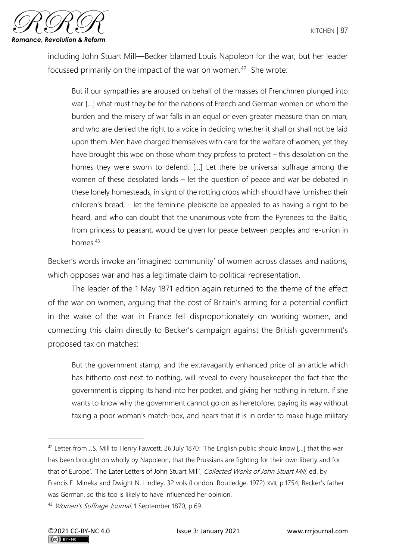

including John Stuart Mill—Becker blamed Louis Napoleon for the war, but her leader focussed primarily on the impact of the war on women.<sup>42</sup> She wrote:

But if our sympathies are aroused on behalf of the masses of Frenchmen plunged into war […] what must they be for the nations of French and German women on whom the burden and the misery of war falls in an equal or even greater measure than on man, and who are denied the right to a voice in deciding whether it shall or shall not be laid upon them. Men have charged themselves with care for the welfare of women; yet they have brought this woe on those whom they profess to protect – this desolation on the homes they were sworn to defend. […] Let there be universal suffrage among the women of these desolated lands – let the question of peace and war be debated in these lonely homesteads, in sight of the rotting crops which should have furnished their children's bread, - let the feminine plebiscite be appealed to as having a right to be heard, and who can doubt that the unanimous vote from the Pyrenees to the Baltic, from princess to peasant, would be given for peace between peoples and re-union in homes.<sup>43</sup>

Becker's words invoke an 'imagined community' of women across classes and nations, which opposes war and has a legitimate claim to political representation.

The leader of the 1 May 1871 edition again returned to the theme of the effect of the war on women, arguing that the cost of Britain's arming for a potential conflict in the wake of the war in France fell disproportionately on working women, and connecting this claim directly to Becker's campaign against the British government's proposed tax on matches:

But the government stamp, and the extravagantly enhanced price of an article which has hitherto cost next to nothing, will reveal to every housekeeper the fact that the government is dipping its hand into her pocket, and giving her nothing in return. If she wants to know why the government cannot go on as heretofore, paying its way without taxing a poor woman's match-box, and hears that it is in order to make huge military

<sup>42</sup> Letter from J.S. Mill to Henry Fawcett, 26 July 1870: 'The English public should know […] that this war has been brought on wholly by Napoleon; that the Prussians are fighting for their own liberty and for that of Europe'. 'The Later Letters of John Stuart Mill', Collected Works of John Stuart Mill, ed. by Francis E. Mineka and Dwight N. Lindley, 32 vols (London: Routledge, 1972) XVII, p.1754; Becker's father was German, so this too is likely to have influenced her opinion.

<sup>43</sup> Women's Suffrage Journal, 1 September 1870, p.69.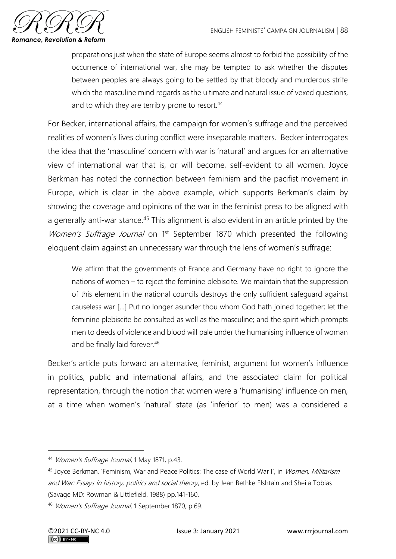

preparations just when the state of Europe seems almost to forbid the possibility of the occurrence of international war, she may be tempted to ask whether the disputes between peoples are always going to be settled by that bloody and murderous strife which the masculine mind regards as the ultimate and natural issue of vexed questions, and to which they are terribly prone to resort.<sup>44</sup>

For Becker, international affairs, the campaign for women's suffrage and the perceived realities of women's lives during conflict were inseparable matters. Becker interrogates the idea that the 'masculine' concern with war is 'natural' and argues for an alternative view of international war that is, or will become, self-evident to all women. Joyce Berkman has noted the connection between feminism and the pacifist movement in Europe, which is clear in the above example, which supports Berkman's claim by showing the coverage and opinions of the war in the feminist press to be aligned with a generally anti-war stance.<sup>45</sup> This alignment is also evident in an article printed by the Women's Suffrage Journal on 1<sup>st</sup> September 1870 which presented the following eloquent claim against an unnecessary war through the lens of women's suffrage:

We affirm that the governments of France and Germany have no right to ignore the nations of women – to reject the feminine plebiscite. We maintain that the suppression of this element in the national councils destroys the only sufficient safeguard against causeless war […] Put no longer asunder thou whom God hath joined together; let the feminine plebiscite be consulted as well as the masculine; and the spirit which prompts men to deeds of violence and blood will pale under the humanising influence of woman and be finally laid forever.<sup>46</sup>

Becker's article puts forward an alternative, feminist, argument for women's influence in politics, public and international affairs, and the associated claim for political representation, through the notion that women were a 'humanising' influence on men, at a time when women's 'natural' state (as 'inferior' to men) was a considered a

<sup>44</sup> Women's Suffrage Journal, 1 May 1871, p.43.

<sup>&</sup>lt;sup>45</sup> Joyce Berkman, 'Feminism, War and Peace Politics: The case of World War I', in Women, Militarism and War: Essays in history, politics and social theory, ed. by Jean Bethke Elshtain and Sheila Tobias (Savage MD: Rowman & Littlefield, 1988) pp.141-160.

<sup>46</sup> Women's Suffrage Journal, 1 September 1870, p.69.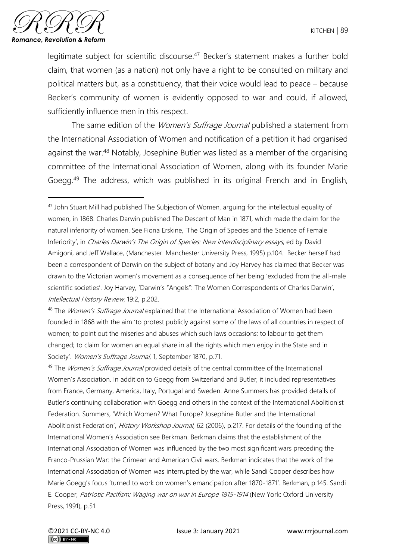

legitimate subject for scientific discourse.<sup>47</sup> Becker's statement makes a further bold claim, that women (as a nation) not only have a right to be consulted on military and political matters but, as a constituency, that their voice would lead to peace – because Becker's community of women is evidently opposed to war and could, if allowed, sufficiently influence men in this respect.

The same edition of the *Women's Suffrage Journal* published a statement from the International Association of Women and notification of a petition it had organised against the war.<sup>48</sup> Notably, Josephine Butler was listed as a member of the organising committee of the International Association of Women, along with its founder Marie Goegg.<sup>49</sup> The address, which was published in its original French and in English,

<sup>&</sup>lt;sup>47</sup> John Stuart Mill had published The Subjection of Women, arguing for the intellectual equality of women, in 1868. Charles Darwin published The Descent of Man in 1871, which made the claim for the natural inferiority of women. See Fiona Erskine, 'The Origin of Species and the Science of Female Inferiority', in Charles Darwin's The Origin of Species: New interdisciplinary essays, ed by David Amigoni, and Jeff Wallace, (Manchester: Manchester University Press, 1995) p.104. Becker herself had been a correspondent of Darwin on the subject of botany and Joy Harvey has claimed that Becker was drawn to the Victorian women's movement as a consequence of her being 'excluded from the all-male scientific societies'. Joy Harvey, 'Darwin's "Angels": The Women Correspondents of Charles Darwin', Intellectual History Review, 19:2, p.202.

<sup>&</sup>lt;sup>48</sup> The *Women's Suffrage Journal* explained that the International Association of Women had been founded in 1868 with the aim 'to protest publicly against some of the laws of all countries in respect of women; to point out the miseries and abuses which such laws occasions; to labour to get them changed; to claim for women an equal share in all the rights which men enjoy in the State and in Society'. Women's Suffrage Journal, 1, September 1870, p.71.

<sup>&</sup>lt;sup>49</sup> The *Women's Suffrage Journal* provided details of the central committee of the International Women's Association. In addition to Goegg from Switzerland and Butler, it included representatives from France, Germany, America, Italy, Portugal and Sweden. Anne Summers has provided details of Butler's continuing collaboration with Goegg and others in the context of the International Abolitionist Federation. Summers, 'Which Women? What Europe? Josephine Butler and the International Abolitionist Federation', History Workshop Journal, 62 (2006), p.217. For details of the founding of the International Women's Association see Berkman. Berkman claims that the establishment of the International Association of Women was influenced by the two most significant wars preceding the Franco-Prussian War: the Crimean and American Civil wars. Berkman indicates that the work of the International Association of Women was interrupted by the war, while Sandi Cooper describes how Marie Goegg's focus 'turned to work on women's emancipation after 1870-1871'. Berkman, p.145. Sandi E. Cooper, Patriotic Pacifism: Waging war on war in Europe 1815-1914 (New York: Oxford University Press, 1991), p.51.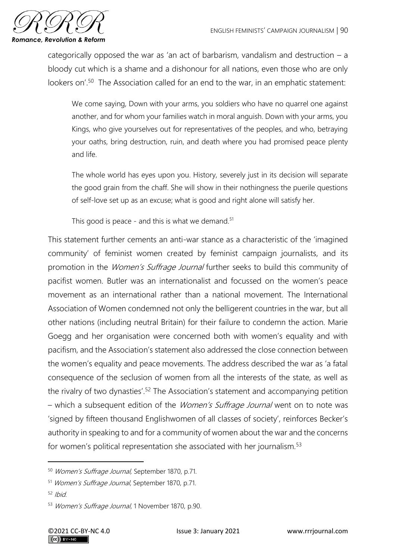

categorically opposed the war as 'an act of barbarism, vandalism and destruction  $- a$ bloody cut which is a shame and a dishonour for all nations, even those who are only lookers on<sup>' 50</sup> The Association called for an end to the war, in an emphatic statement:

We come saying, Down with your arms, you soldiers who have no quarrel one against another, and for whom your families watch in moral anguish. Down with your arms, you Kings, who give yourselves out for representatives of the peoples, and who, betraying your oaths, bring destruction, ruin, and death where you had promised peace plenty and life.

The whole world has eyes upon you. History, severely just in its decision will separate the good grain from the chaff. She will show in their nothingness the puerile questions of self-love set up as an excuse; what is good and right alone will satisfy her.

This good is peace - and this is what we demand.<sup>51</sup>

This statement further cements an anti-war stance as a characteristic of the 'imagined community' of feminist women created by feminist campaign journalists, and its promotion in the *Women's Suffrage Journal* further seeks to build this community of pacifist women. Butler was an internationalist and focussed on the women's peace movement as an international rather than a national movement. The International Association of Women condemned not only the belligerent countries in the war, but all other nations (including neutral Britain) for their failure to condemn the action. Marie Goegg and her organisation were concerned both with women's equality and with pacifism, and the Association's statement also addressed the close connection between the women's equality and peace movements. The address described the war as 'a fatal consequence of the seclusion of women from all the interests of the state, as well as the rivalry of two dynasties'.<sup>52</sup> The Association's statement and accompanying petition – which a subsequent edition of the *Women's Suffrage Journal* went on to note was 'signed by fifteen thousand Englishwomen of all classes of society', reinforces Becker's authority in speaking to and for a community of women about the war and the concerns for women's political representation she associated with her journalism.<sup>53</sup>

<sup>50</sup> Women's Suffrage Journal, September 1870, p.71.

<sup>51</sup> Women's Suffrage Journal, September 1870, p.71.

 $52$  Ibid.

<sup>53</sup> Women's Suffrage Journal, 1 November 1870, p.90.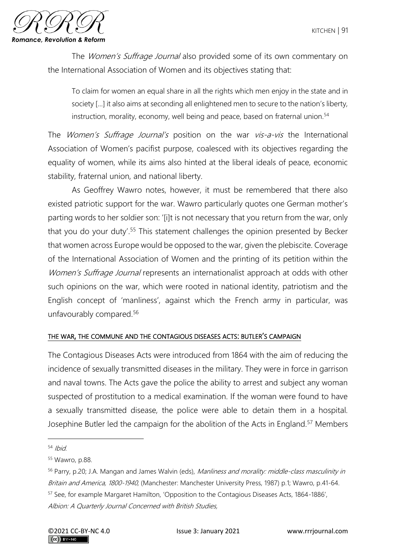

The Women's Suffrage Journal also provided some of its own commentary on the International Association of Women and its objectives stating that:

To claim for women an equal share in all the rights which men enjoy in the state and in society […] it also aims at seconding all enlightened men to secure to the nation's liberty, instruction, morality, economy, well being and peace, based on fraternal union.<sup>54</sup>

The *Women's Suffrage Journal's* position on the war *vis-a-vis* the International Association of Women's pacifist purpose, coalesced with its objectives regarding the equality of women, while its aims also hinted at the liberal ideals of peace, economic stability, fraternal union, and national liberty.

As Geoffrey Wawro notes, however, it must be remembered that there also existed patriotic support for the war. Wawro particularly quotes one German mother's parting words to her soldier son: '[i]t is not necessary that you return from the war, only that you do your duty'.<sup>55</sup> This statement challenges the opinion presented by Becker that women across Europe would be opposed to the war, given the plebiscite. Coverage of the International Association of Women and the printing of its petition within the Women's Suffrage Journal represents an internationalist approach at odds with other such opinions on the war, which were rooted in national identity, patriotism and the English concept of 'manliness', against which the French army in particular, was unfavourably compared.<sup>56</sup>

#### THE WAR, THE COMMUNE AND THE CONTAGIOUS DISEASES ACTS: BUTLER'S CAMPAIGN

The Contagious Diseases Acts were introduced from 1864 with the aim of reducing the incidence of sexually transmitted diseases in the military. They were in force in garrison and naval towns. The Acts gave the police the ability to arrest and subject any woman suspected of prostitution to a medical examination. If the woman were found to have a sexually transmitted disease, the police were able to detain them in a hospital. Josephine Butler led the campaign for the abolition of the Acts in England.<sup>57</sup> Members

 $54$  Ibid.

<sup>55</sup> Wawro, p.88.

<sup>56</sup> Parry, p.20; J.A. Mangan and James Walvin (eds), Manliness and morality: middle-class masculinity in Britain and America, 1800-1940, (Manchester: Manchester University Press, 1987) p.1; Wawro, p.41-64. <sup>57</sup> See, for example Margaret Hamilton, 'Opposition to the Contagious Diseases Acts, 1864-1886', Albion: A Quarterly Journal Concerned with British Studies,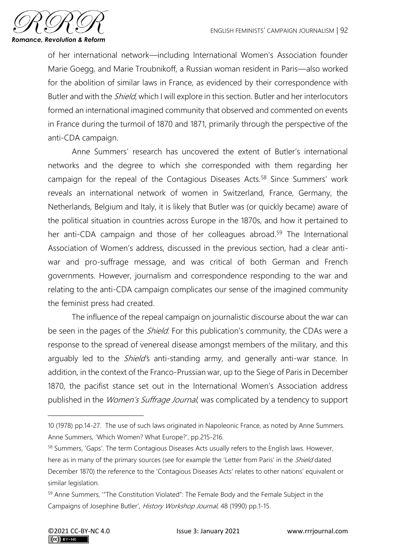

of her international network—including International Women's Association founder Marie Goegg, and Marie Troubnikoff, a Russian woman resident in Paris—also worked for the abolition of similar laws in France, as evidenced by their correspondence with Butler and with the *Shield*, which I will explore in this section. Butler and her interlocutors formed an international imagined community that observed and commented on events in France during the turmoil of 1870 and 1871, primarily through the perspective of the anti-CDA campaign.

Anne Summers' research has uncovered the extent of Butler's international networks and the degree to which she corresponded with them regarding her campaign for the repeal of the Contagious Diseases Acts.<sup>58</sup> Since Summers' work reveals an international network of women in Switzerland, France, Germany, the Netherlands, Belgium and Italy, it is likely that Butler was (or quickly became) aware of the political situation in countries across Europe in the 1870s, and how it pertained to her anti-CDA campaign and those of her colleagues abroad.<sup>59</sup> The International Association of Women's address, discussed in the previous section, had a clear antiwar and pro-suffrage message, and was critical of both German and French governments. However, journalism and correspondence responding to the war and relating to the anti-CDA campaign complicates our sense of the imagined community the feminist press had created.

The influence of the repeal campaign on journalistic discourse about the war can be seen in the pages of the *Shield*. For this publication's community, the CDAs were a response to the spread of venereal disease amongst members of the military, and this arguably led to the *Shield'*s anti-standing army, and generally anti-war stance. In addition, in the context of the Franco-Prussian war, up to the Siege of Paris in December 1870, the pacifist stance set out in the International Women's Association address published in the *Women's Suffrage Journal*, was complicated by a tendency to support

<sup>10 (1978)</sup> pp.14-27. The use of such laws originated in Napoleonic France, as noted by Anne Summers. Anne Summers, 'Which Women? What Europe?', pp.215-216.

<sup>&</sup>lt;sup>58</sup> Summers, 'Gaps'. The term Contagious Diseases Acts usually refers to the English laws. However, here as in many of the primary sources (see for example the 'Letter from Paris' in the *Shield* dated December 1870) the reference to the 'Contagious Diseases Acts' relates to other nations' equivalent or similar legislation.

<sup>59</sup> Anne Summers, "The Constitution Violated": The Female Body and the Female Subject in the Campaigns of Josephine Butler', History Workshop Journal, 48 (1990) pp.1-15.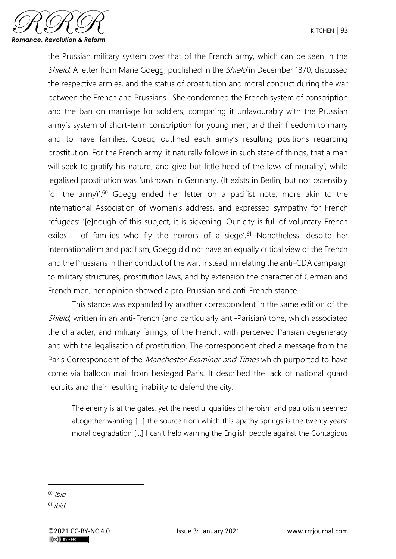

the Prussian military system over that of the French army, which can be seen in the Shield. A letter from Marie Goegg, published in the Shield in December 1870, discussed the respective armies, and the status of prostitution and moral conduct during the war between the French and Prussians. She condemned the French system of conscription and the ban on marriage for soldiers, comparing it unfavourably with the Prussian army's system of short-term conscription for young men, and their freedom to marry and to have families. Goegg outlined each army's resulting positions regarding prostitution. For the French army 'it naturally follows in such state of things, that a man will seek to gratify his nature, and give but little heed of the laws of morality', while legalised prostitution was 'unknown in Germany. (It exists in Berlin, but not ostensibly for the army)<sup>'60</sup> Goegg ended her letter on a pacifist note, more akin to the International Association of Women's address, and expressed sympathy for French refugees: '[e]nough of this subject, it is sickening. Our city is full of voluntary French exiles – of families who fly the horrors of a siege'.<sup>61</sup> Nonetheless, despite her internationalism and pacifism, Goegg did not have an equally critical view of the French and the Prussians in their conduct of the war. Instead, in relating the anti-CDA campaign to military structures, prostitution laws, and by extension the character of German and French men, her opinion showed a pro-Prussian and anti-French stance.

This stance was expanded by another correspondent in the same edition of the Shield, written in an anti-French (and particularly anti-Parisian) tone, which associated the character, and military failings, of the French, with perceived Parisian degeneracy and with the legalisation of prostitution. The correspondent cited a message from the Paris Correspondent of the *Manchester Examiner and Times* which purported to have come via balloon mail from besieged Paris. It described the lack of national guard recruits and their resulting inability to defend the city:

The enemy is at the gates, yet the needful qualities of heroism and patriotism seemed altogether wanting […] the source from which this apathy springs is the twenty years' moral degradation […] I can't help warning the English people against the Contagious

 $60$  Ibid

 $61$  Ibid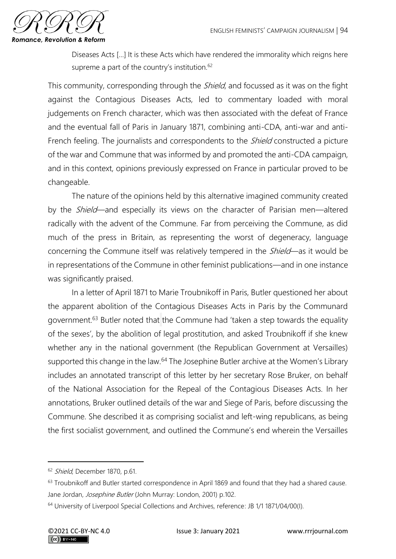

Diseases Acts […] It is these Acts which have rendered the immorality which reigns here supreme a part of the country's institution.<sup>62</sup>

This community, corresponding through the *Shield*, and focussed as it was on the fight against the Contagious Diseases Acts, led to commentary loaded with moral judgements on French character, which was then associated with the defeat of France and the eventual fall of Paris in January 1871, combining anti-CDA, anti-war and anti-French feeling. The journalists and correspondents to the *Shield* constructed a picture of the war and Commune that was informed by and promoted the anti-CDA campaign, and in this context, opinions previously expressed on France in particular proved to be changeable.

The nature of the opinions held by this alternative imagined community created by the Shield—and especially its views on the character of Parisian men—altered radically with the advent of the Commune. Far from perceiving the Commune, as did much of the press in Britain, as representing the worst of degeneracy, language concerning the Commune itself was relatively tempered in the *Shield*—as it would be in representations of the Commune in other feminist publications—and in one instance was significantly praised.

In a letter of April 1871 to Marie Troubnikoff in Paris, Butler questioned her about the apparent abolition of the Contagious Diseases Acts in Paris by the Communard government.<sup>63</sup> Butler noted that the Commune had 'taken a step towards the equality of the sexes', by the abolition of legal prostitution, and asked Troubnikoff if she knew whether any in the national government (the Republican Government at Versailles) supported this change in the law.<sup>64</sup> The Josephine Butler archive at the Women's Library includes an annotated transcript of this letter by her secretary Rose Bruker, on behalf of the National Association for the Repeal of the Contagious Diseases Acts. In her annotations, Bruker outlined details of the war and Siege of Paris, before discussing the Commune. She described it as comprising socialist and left-wing republicans, as being the first socialist government, and outlined the Commune's end wherein the Versailles

<sup>&</sup>lt;sup>62</sup> Shield, December 1870, p.61.

<sup>&</sup>lt;sup>63</sup> Troubnikoff and Butler started correspondence in April 1869 and found that they had a shared cause. Jane Jordan, Josephine Butler (John Murray: London, 2001) p.102.

<sup>&</sup>lt;sup>64</sup> University of Liverpool Special Collections and Archives, reference: JB 1/1 1871/04/00(I).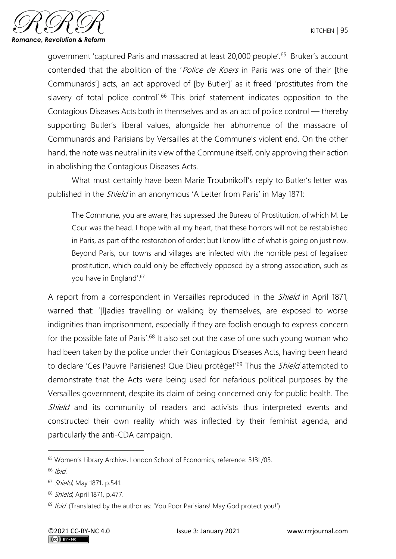

government 'captured Paris and massacred at least 20,000 people'.<sup>65</sup> Bruker's account contended that the abolition of the '*Police de Koers* in Paris was one of their [the Communards'] acts, an act approved of [by Butler]' as it freed 'prostitutes from the slavery of total police control<sup>'66</sup> This brief statement indicates opposition to the Contagious Diseases Acts both in themselves and as an act of police control — thereby supporting Butler's liberal values, alongside her abhorrence of the massacre of Communards and Parisians by Versailles at the Commune's violent end. On the other hand, the note was neutral in its view of the Commune itself, only approving their action in abolishing the Contagious Diseases Acts.

What must certainly have been Marie Troubnikoff's reply to Butler's letter was published in the *Shield* in an anonymous 'A Letter from Paris' in May 1871:

The Commune, you are aware, has supressed the Bureau of Prostitution, of which M. Le Cour was the head. I hope with all my heart, that these horrors will not be restablished in Paris, as part of the restoration of order; but I know little of what is going on just now. Beyond Paris, our towns and villages are infected with the horrible pest of legalised prostitution, which could only be effectively opposed by a strong association, such as you have in England'. 67

A report from a correspondent in Versailles reproduced in the *Shield* in April 1871, warned that: '[l]adies travelling or walking by themselves, are exposed to worse indignities than imprisonment, especially if they are foolish enough to express concern for the possible fate of Paris'.<sup>68</sup> It also set out the case of one such young woman who had been taken by the police under their Contagious Diseases Acts, having been heard to declare 'Ces Pauvre Parisienes! Que Dieu protège!'<sup>69</sup> Thus the *Shield* attempted to demonstrate that the Acts were being used for nefarious political purposes by the Versailles government, despite its claim of being concerned only for public health. The Shield and its community of readers and activists thus interpreted events and constructed their own reality which was inflected by their feminist agenda, and particularly the anti-CDA campaign.

<sup>65</sup> Women's Library Archive, London School of Economics, reference: 3JBL/03.

 $66$  Ibid.

<sup>67</sup> Shield, May 1871, p.541.

<sup>68</sup> Shield, April 1871, p.477.

 $69$  Ibid. (Translated by the author as: 'You Poor Parisians! May God protect you!')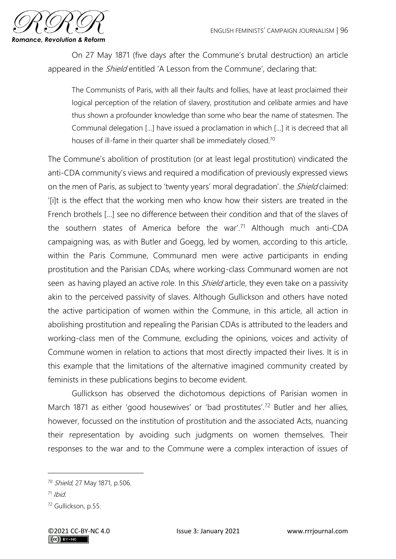

On 27 May 1871 (five days after the Commune's brutal destruction) an article appeared in the *Shield* entitled 'A Lesson from the Commune', declaring that:

The Communists of Paris, with all their faults and follies, have at least proclaimed their logical perception of the relation of slavery, prostitution and celibate armies and have thus shown a profounder knowledge than some who bear the name of statesmen. The Communal delegation […] have issued a proclamation in which […] it is decreed that all houses of ill-fame in their quarter shall be immediately closed.<sup>70</sup>

The Commune's abolition of prostitution (or at least legal prostitution) vindicated the anti-CDA community's views and required a modification of previously expressed views on the men of Paris, as subject to 'twenty years' moral degradation'. the Shield claimed: '[i]t is the effect that the working men who know how their sisters are treated in the French brothels […] see no difference between their condition and that of the slaves of the southern states of America before the war'.<sup>71</sup> Although much anti-CDA campaigning was, as with Butler and Goegg, led by women, according to this article, within the Paris Commune, Communard men were active participants in ending prostitution and the Parisian CDAs, where working-class Communard women are not seen as having played an active role. In this *Shield* article, they even take on a passivity akin to the perceived passivity of slaves. Although Gullickson and others have noted the active participation of women within the Commune, in this article, all action in abolishing prostitution and repealing the Parisian CDAs is attributed to the leaders and working-class men of the Commune, excluding the opinions, voices and activity of Commune women in relation to actions that most directly impacted their lives. It is in this example that the limitations of the alternative imagined community created by feminists in these publications begins to become evident.

Gullickson has observed the dichotomous depictions of Parisian women in March 1871 as either 'good housewives' or 'bad prostitutes'.<sup>72</sup> Butler and her allies, however, focussed on the institution of prostitution and the associated Acts, nuancing their representation by avoiding such judgments on women themselves. Their responses to the war and to the Commune were a complex interaction of issues of

 $71$  Ibid.

<sup>70</sup> Shield, 27 May 1871, p.506.

<sup>72</sup> Gullickson, p.55.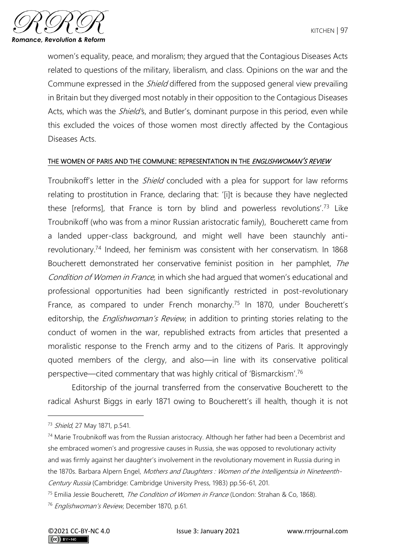

women's equality, peace, and moralism; they argued that the Contagious Diseases Acts related to questions of the military, liberalism, and class. Opinions on the war and the Commune expressed in the *Shield* differed from the supposed general view prevailing in Britain but they diverged most notably in their opposition to the Contagious Diseases Acts, which was the *Shield's*, and Butler's, dominant purpose in this period, even while this excluded the voices of those women most directly affected by the Contagious Diseases Acts.

#### THE WOMEN OF PARIS AND THE COMMUNE: REPRESENTATION IN THE ENGLISHWOMAN'S REVIEW

Troubnikoff's letter in the *Shield* concluded with a plea for support for law reforms relating to prostitution in France, declaring that: '[i]t is because they have neglected these [reforms], that France is torn by blind and powerless revolutions'.<sup>73</sup> Like Troubnikoff (who was from a minor Russian aristocratic family), Boucherett came from a landed upper-class background, and might well have been staunchly antirevolutionary.<sup>74</sup> Indeed, her feminism was consistent with her conservatism. In 1868 Boucherett demonstrated her conservative feminist position in her pamphlet, The Condition of Women in France, in which she had arqued that women's educational and professional opportunities had been significantly restricted in post-revolutionary France, as compared to under French monarchy.<sup>75</sup> In 1870, under Boucherett's editorship, the *Englishwoman's Review*, in addition to printing stories relating to the conduct of women in the war, republished extracts from articles that presented a moralistic response to the French army and to the citizens of Paris. It approvingly quoted members of the clergy, and also—in line with its conservative political perspective—cited commentary that was highly critical of 'Bismarckism'.<sup>76</sup>

Editorship of the journal transferred from the conservative Boucherett to the radical Ashurst Biggs in early 1871 owing to Boucherett's ill health, though it is not

<sup>73</sup> Shield, 27 May 1871, p.541.

<sup>&</sup>lt;sup>74</sup> Marie Troubnikoff was from the Russian aristocracy. Although her father had been a Decembrist and she embraced women's and progressive causes in Russia, she was opposed to revolutionary activity and was firmly against her daughter's involvement in the revolutionary movement in Russia during in the 1870s. Barbara Alpern Engel, Mothers and Daughters : Women of the Intelligentsia in Nineteenth-Century Russia (Cambridge: Cambridge University Press, 1983) pp.56-61, 201.

<sup>&</sup>lt;sup>75</sup> Emilia Jessie Boucherett, *The Condition of Women in France* (London: Strahan & Co, 1868).

<sup>76</sup> Englishwoman's Review, December 1870, p.61.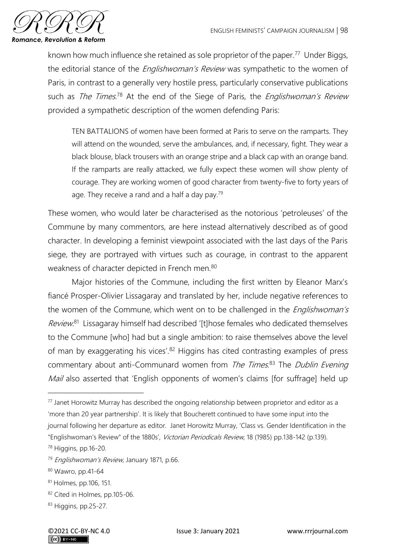

known how much influence she retained as sole proprietor of the paper.<sup>77</sup> Under Biggs, the editorial stance of the *Englishwoman's Review* was sympathetic to the women of Paris, in contrast to a generally very hostile press, particularly conservative publications such as The Times.<sup>78</sup> At the end of the Siege of Paris, the Englishwoman's Review provided a sympathetic description of the women defending Paris:

TEN BATTALIONS of women have been formed at Paris to serve on the ramparts. They will attend on the wounded, serve the ambulances, and, if necessary, fight. They wear a black blouse, black trousers with an orange stripe and a black cap with an orange band. If the ramparts are really attacked, we fully expect these women will show plenty of courage. They are working women of good character from twenty-five to forty years of age. They receive a rand and a half a day pay. $79$ 

These women, who would later be characterised as the notorious 'petroleuses' of the Commune by many commentors, are here instead alternatively described as of good character. In developing a feminist viewpoint associated with the last days of the Paris siege, they are portrayed with virtues such as courage, in contrast to the apparent weakness of character depicted in French men.<sup>80</sup>

Major histories of the Commune, including the first written by Eleanor Marx's fiancé Prosper-Olivier Lissagaray and translated by her, include negative references to the women of the Commune, which went on to be challenged in the *Englishwoman's* Review.<sup>81</sup> Lissagaray himself had described '[t]hose females who dedicated themselves to the Commune [who] had but a single ambition: to raise themselves above the level of man by exaggerating his vices'.<sup>82</sup> Higgins has cited contrasting examples of press commentary about anti-Communard women from The Times.<sup>83</sup> The Dublin Evening Mail also asserted that 'English opponents of women's claims [for suffrage] held up

 $77$  Janet Horowitz Murray has described the ongoing relationship between proprietor and editor as a 'more than 20 year partnership'. It is likely that Boucherett continued to have some input into the journal following her departure as editor. Janet Horowitz Murray, 'Class vs. Gender Identification in the "Englishwoman's Review" of the 1880s', Victorian Periodicals Review, 18 (1985) pp.138-142 (p.139).

<sup>78</sup> Higgins, pp.16-20.

<sup>&</sup>lt;sup>79</sup> Englishwoman's Review, January 1871, p.66.

<sup>80</sup> Wawro, pp.41-64

<sup>81</sup> Holmes, pp.106, 151.

<sup>82</sup> Cited in Holmes, pp.105-06.

<sup>83</sup> Higgins, pp.25-27.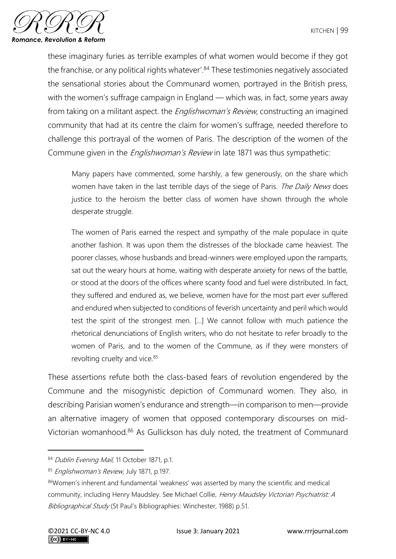

these imaginary furies as terrible examples of what women would become if they got the franchise, or any political rights whatever'. $84$  These testimonies negatively associated the sensational stories about the Communard women, portrayed in the British press, with the women's suffrage campaign in England — which was, in fact, some years away from taking on a militant aspect, the *Englishwoman's Review*, constructing an imagined community that had at its centre the claim for women's suffrage, needed therefore to challenge this portrayal of the women of Paris. The description of the women of the Commune given in the *Englishwoman's Review* in late 1871 was thus sympathetic:

Many papers have commented, some harshly, a few generously, on the share which women have taken in the last terrible days of the siege of Paris. The Daily News does justice to the heroism the better class of women have shown through the whole desperate struggle.

The women of Paris earned the respect and sympathy of the male populace in quite another fashion. It was upon them the distresses of the blockade came heaviest. The poorer classes, whose husbands and bread-winners were employed upon the ramparts, sat out the weary hours at home, waiting with desperate anxiety for news of the battle, or stood at the doors of the offices where scanty food and fuel were distributed. In fact, they suffered and endured as, we believe, women have for the most part ever suffered and endured when subjected to conditions of feverish uncertainty and peril which would test the spirit of the strongest men. [...] We cannot follow with much patience the rhetorical denunciations of English writers, who do not hesitate to refer broadly to the women of Paris, and to the women of the Commune, as if they were monsters of revolting cruelty and vice.<sup>85</sup>

These assertions refute both the class-based fears of revolution engendered by the Commune and the misogynistic depiction of Communard women. They also, in describing Parisian women's endurance and strength—in comparison to men—provide an alternative imagery of women that opposed contemporary discourses on mid-Victorian womanhood.<sup>86</sup> As Gullickson has duly noted, the treatment of Communard

<sup>84</sup> Dublin Evening Mail, 11 October 1871, p.1.

<sup>85</sup> Englishwoman's Review, July 1871, p.197.

<sup>86</sup>Women's inherent and fundamental 'weakness' was asserted by many the scientific and medical community, including Henry Maudsley. See Michael Collie, Henry Maudsley Victorian Psychiatrist: A Bibliographical Study (St Paul's Bibliographies: Winchester, 1988) p.51.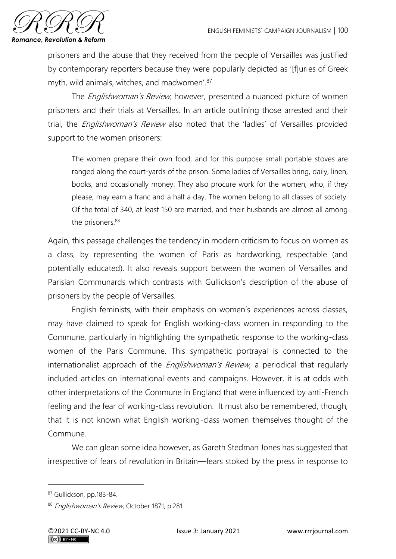

prisoners and the abuse that they received from the people of Versailles was justified by contemporary reporters because they were popularly depicted as '[f]uries of Greek myth, wild animals, witches, and madwomen'. 87

The *Englishwoman's Review*, however, presented a nuanced picture of women prisoners and their trials at Versailles. In an article outlining those arrested and their trial, the *Englishwoman's Review* also noted that the 'ladies' of Versailles provided support to the women prisoners:

The women prepare their own food, and for this purpose small portable stoves are ranged along the court-yards of the prison. Some ladies of Versailles bring, daily, linen, books, and occasionally money. They also procure work for the women, who, if they please, may earn a franc and a half a day. The women belong to all classes of society. Of the total of 340, at least 150 are married, and their husbands are almost all among the prisoners.<sup>88</sup>

Again, this passage challenges the tendency in modern criticism to focus on women as a class, by representing the women of Paris as hardworking, respectable (and potentially educated). It also reveals support between the women of Versailles and Parisian Communards which contrasts with Gullickson's description of the abuse of prisoners by the people of Versailles.

English feminists, with their emphasis on women's experiences across classes, may have claimed to speak for English working-class women in responding to the Commune, particularly in highlighting the sympathetic response to the working-class women of the Paris Commune. This sympathetic portrayal is connected to the internationalist approach of the *Englishwoman's Review*, a periodical that regularly included articles on international events and campaigns. However, it is at odds with other interpretations of the Commune in England that were influenced by anti-French feeling and the fear of working-class revolution. It must also be remembered, though, that it is not known what English working-class women themselves thought of the Commune.

We can glean some idea however, as Gareth Stedman Jones has suggested that irrespective of fears of revolution in Britain—fears stoked by the press in response to

<sup>87</sup> Gullickson, pp.183-84.

<sup>88</sup> Englishwoman's Review, October 1871, p.281.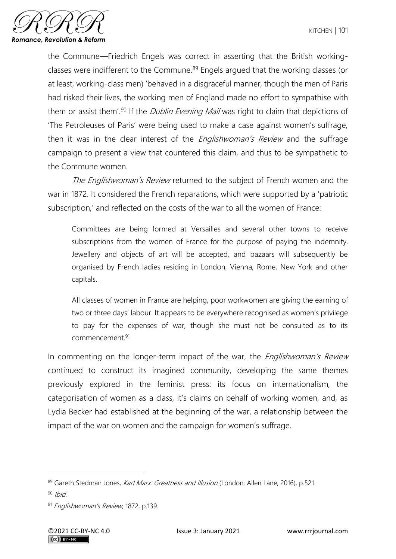

the Commune—Friedrich Engels was correct in asserting that the British workingclasses were indifferent to the Commune.<sup>89</sup> Engels argued that the working classes (or at least, working-class men) 'behaved in a disgraceful manner, though the men of Paris had risked their lives, the working men of England made no effort to sympathise with them or assist them<sup>'90</sup> If the *Dublin Evening Mail* was right to claim that depictions of 'The Petroleuses of Paris' were being used to make a case against women's suffrage, then it was in the clear interest of the *Englishwoman's Review* and the suffrage campaign to present a view that countered this claim, and thus to be sympathetic to the Commune women.

The Englishwoman's Review returned to the subject of French women and the war in 1872. It considered the French reparations, which were supported by a 'patriotic subscription,' and reflected on the costs of the war to all the women of France:

Committees are being formed at Versailles and several other towns to receive subscriptions from the women of France for the purpose of paying the indemnity. Jewellery and objects of art will be accepted, and bazaars will subsequently be organised by French ladies residing in London, Vienna, Rome, New York and other capitals.

All classes of women in France are helping, poor workwomen are giving the earning of two or three days' labour. It appears to be everywhere recognised as women's privilege to pay for the expenses of war, though she must not be consulted as to its commencement.<sup>91</sup>

In commenting on the longer-term impact of the war, the *Englishwoman's Review* continued to construct its imagined community, developing the same themes previously explored in the feminist press: its focus on internationalism, the categorisation of women as a class, it's claims on behalf of working women, and, as Lydia Becker had established at the beginning of the war, a relationship between the impact of the war on women and the campaign for women's suffrage.

<sup>89</sup> Gareth Stedman Jones, Karl Marx: Greatness and Illusion (London: Allen Lane, 2016), p.521.

 $90$  Ibid

<sup>91</sup> Englishwoman's Review, 1872, p.139.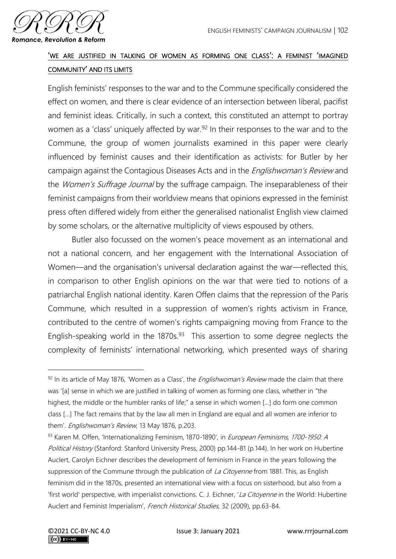

## 'WE ARE JUSTIFIED IN TALKING OF WOMEN AS FORMING ONE CLASS': A FEMINIST 'IMAGINED COMMUNITY' AND ITS LIMITS

English feminists' responses to the war and to the Commune specifically considered the effect on women, and there is clear evidence of an intersection between liberal, pacifist and feminist ideas. Critically, in such a context, this constituted an attempt to portray women as a 'class' uniquely affected by war.<sup>92</sup> In their responses to the war and to the Commune, the group of women journalists examined in this paper were clearly influenced by feminist causes and their identification as activists: for Butler by her campaign against the Contagious Diseases Acts and in the *Englishwoman's Review* and the *Women's Suffrage Journal* by the suffrage campaign. The inseparableness of their feminist campaigns from their worldview means that opinions expressed in the feminist press often differed widely from either the generalised nationalist English view claimed by some scholars, or the alternative multiplicity of views espoused by others.

Butler also focussed on the women's peace movement as an international and not a national concern, and her engagement with the International Association of Women—and the organisation's universal declaration against the war—reflected this, in comparison to other English opinions on the war that were tied to notions of a patriarchal English national identity. Karen Offen claims that the repression of the Paris Commune, which resulted in a suppression of women's rights activism in France, contributed to the centre of women's rights campaigning moving from France to the English-speaking world in the  $1870s.<sup>93</sup>$  This assertion to some degree neglects the complexity of feminists' international networking, which presented ways of sharing

 $92$  In its article of May 1876, 'Women as a Class', the *Englishwoman's Review* made the claim that there was '[a] sense in which we are justified in talking of women as forming one class, whether in "the highest, the middle or the humbler ranks of life;" a sense in which women […] do form one common class […] The fact remains that by the law all men in England are equal and all women are inferior to them'. Englishwoman's Review, 13 May 1876, p.203.

<sup>93</sup> Karen M. Offen, 'Internationalizing Feminism, 1870-1890', in European Feminisms, 1700-1950: A Political History (Stanford: Stanford University Press, 2000) pp.144-81 (p.144). In her work on Hubertine Auclert, Carolyn Eichner describes the development of feminism in France in the years following the suppression of the Commune through the publication of La Citoyenne from 1881. This, as English feminism did in the 1870s, presented an international view with a focus on sisterhood, but also from a 'first world' perspective, with imperialist convictions. C. J. Eichner, 'La Citoyenne in the World: Hubertine Auclert and Feminist Imperialism', French Historical Studies, 32 (2009), pp.63-84.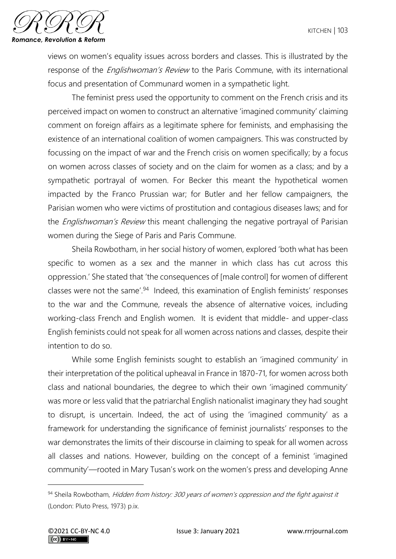

views on women's equality issues across borders and classes. This is illustrated by the response of the *Englishwoman's Review* to the Paris Commune, with its international focus and presentation of Communard women in a sympathetic light.

The feminist press used the opportunity to comment on the French crisis and its perceived impact on women to construct an alternative 'imagined community' claiming comment on foreign affairs as a legitimate sphere for feminists, and emphasising the existence of an international coalition of women campaigners. This was constructed by focussing on the impact of war and the French crisis on women specifically; by a focus on women across classes of society and on the claim for women as a class; and by a sympathetic portrayal of women. For Becker this meant the hypothetical women impacted by the Franco Prussian war; for Butler and her fellow campaigners, the Parisian women who were victims of prostitution and contagious diseases laws; and for the *Englishwoman's Review* this meant challenging the negative portrayal of Parisian women during the Siege of Paris and Paris Commune.

Sheila Rowbotham, in her social history of women, explored 'both what has been specific to women as a sex and the manner in which class has cut across this oppression.' She stated that 'the consequences of [male control] for women of different classes were not the same<sup>'94</sup> Indeed, this examination of English feminists' responses to the war and the Commune, reveals the absence of alternative voices, including working-class French and English women. It is evident that middle- and upper-class English feminists could not speak for all women across nations and classes, despite their intention to do so.

While some English feminists sought to establish an 'imagined community' in their interpretation of the political upheaval in France in 1870-71, for women across both class and national boundaries, the degree to which their own 'imagined community' was more or less valid that the patriarchal English nationalist imaginary they had sought to disrupt, is uncertain. Indeed, the act of using the 'imagined community' as a framework for understanding the significance of feminist journalists' responses to the war demonstrates the limits of their discourse in claiming to speak for all women across all classes and nations. However, building on the concept of a feminist 'imagined community'—rooted in Mary Tusan's work on the women's press and developing Anne

<sup>94</sup> Sheila Rowbotham, Hidden from history: 300 years of women's oppression and the fight against it (London: Pluto Press, 1973) p.ix.